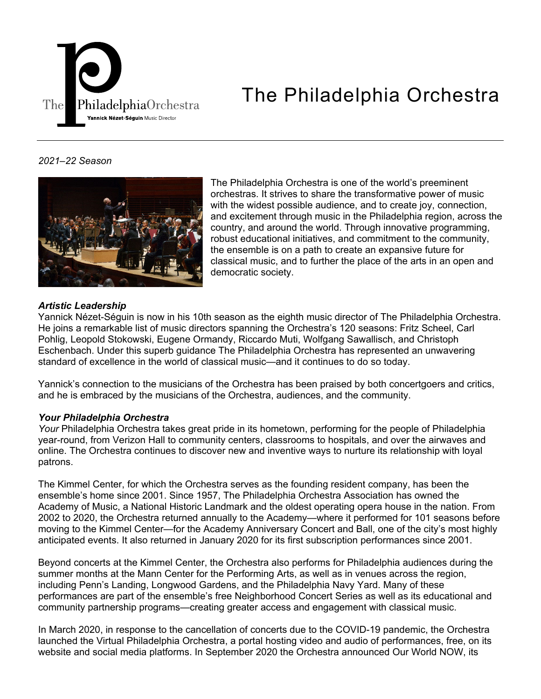

# The Philadelphia Orchestra

## *2021–22 Season*



The Philadelphia Orchestra is one of the world's preeminent orchestras. It strives to share the transformative power of music with the widest possible audience, and to create joy, connection, and excitement through music in the Philadelphia region, across the country, and around the world. Through innovative programming, robust educational initiatives, and commitment to the community, the ensemble is on a path to create an expansive future for classical music, and to further the place of the arts in an open and democratic society.

## *Artistic Leadership*

Yannick Nézet-Séguin is now in his 10th season as the eighth music director of The Philadelphia Orchestra. He joins a remarkable list of music directors spanning the Orchestra's 120 seasons: Fritz Scheel, Carl Pohlig, Leopold Stokowski, Eugene Ormandy, Riccardo Muti, Wolfgang Sawallisch, and Christoph Eschenbach. Under this superb guidance The Philadelphia Orchestra has represented an unwavering standard of excellence in the world of classical music—and it continues to do so today.

Yannick's connection to the musicians of the Orchestra has been praised by both concertgoers and critics, and he is embraced by the musicians of the Orchestra, audiences, and the community.

## *Your Philadelphia Orchestra*

*Your* Philadelphia Orchestra takes great pride in its hometown, performing for the people of Philadelphia year-round, from Verizon Hall to community centers, classrooms to hospitals, and over the airwaves and online. The Orchestra continues to discover new and inventive ways to nurture its relationship with loyal patrons.

The Kimmel Center, for which the Orchestra serves as the founding resident company, has been the ensemble's home since 2001. Since 1957, The Philadelphia Orchestra Association has owned the Academy of Music, a National Historic Landmark and the oldest operating opera house in the nation. From 2002 to 2020, the Orchestra returned annually to the Academy—where it performed for 101 seasons before moving to the Kimmel Center—for the Academy Anniversary Concert and Ball, one of the city's most highly anticipated events. It also returned in January 2020 for its first subscription performances since 2001.

Beyond concerts at the Kimmel Center, the Orchestra also performs for Philadelphia audiences during the summer months at the Mann Center for the Performing Arts, as well as in venues across the region, including Penn's Landing, Longwood Gardens, and the Philadelphia Navy Yard. Many of these performances are part of the ensemble's free Neighborhood Concert Series as well as its educational and community partnership programs—creating greater access and engagement with classical music.

In March 2020, in response to the cancellation of concerts due to the COVID-19 pandemic, the Orchestra launched the Virtual Philadelphia Orchestra, a portal hosting video and audio of performances, free, on its website and social media platforms. In September 2020 the Orchestra announced Our World NOW, its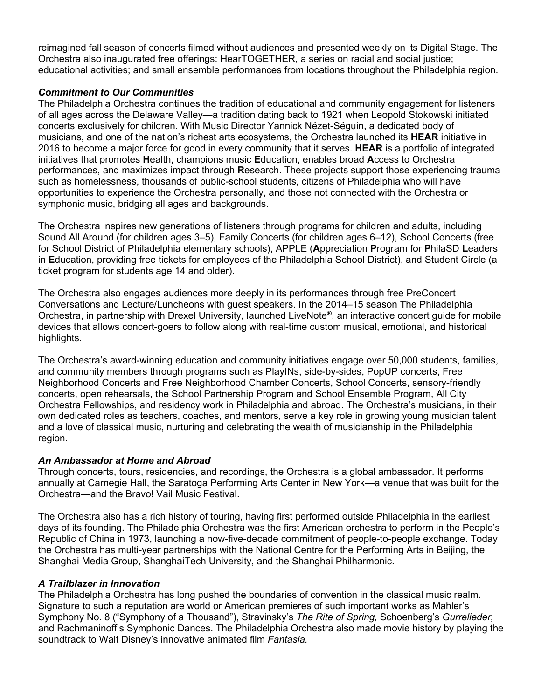reimagined fall season of concerts filmed without audiences and presented weekly on its Digital Stage. The Orchestra also inaugurated free offerings: HearTOGETHER, a series on racial and social justice; educational activities; and small ensemble performances from locations throughout the Philadelphia region.

#### *Commitment to Our Communities*

The Philadelphia Orchestra continues the tradition of educational and community engagement for listeners of all ages across the Delaware Valley—a tradition dating back to 1921 when Leopold Stokowski initiated concerts exclusively for children. With Music Director Yannick Nézet-Séguin, a dedicated body of musicians, and one of the nation's richest arts ecosystems, the Orchestra launched its **HEAR** initiative in 2016 to become a major force for good in every community that it serves. **HEAR** is a portfolio of integrated initiatives that promotes **H**ealth, champions music **E**ducation, enables broad **A**ccess to Orchestra performances, and maximizes impact through **R**esearch. These projects support those experiencing trauma such as homelessness, thousands of public-school students, citizens of Philadelphia who will have opportunities to experience the Orchestra personally, and those not connected with the Orchestra or symphonic music, bridging all ages and backgrounds.

The Orchestra inspires new generations of listeners through programs for children and adults, including Sound All Around (for children ages 3–5), Family Concerts (for children ages 6–12), School Concerts (free for School District of Philadelphia elementary schools), APPLE (**A**ppreciation **P**rogram for **P**hilaSD **L**eaders in **E**ducation, providing free tickets for employees of the Philadelphia School District), and Student Circle (a ticket program for students age 14 and older).

The Orchestra also engages audiences more deeply in its performances through free PreConcert Conversations and Lecture/Luncheons with guest speakers. In the 2014–15 season The Philadelphia Orchestra, in partnership with Drexel University, launched LiveNote®, an interactive concert guide for mobile devices that allows concert-goers to follow along with real-time custom musical, emotional, and historical highlights.

The Orchestra's award-winning education and community initiatives engage over 50,000 students, families, and community members through programs such as PlayINs, side-by-sides, PopUP concerts, Free Neighborhood Concerts and Free Neighborhood Chamber Concerts, School Concerts, sensory-friendly concerts, open rehearsals, the School Partnership Program and School Ensemble Program, All City Orchestra Fellowships, and residency work in Philadelphia and abroad. The Orchestra's musicians, in their own dedicated roles as teachers, coaches, and mentors, serve a key role in growing young musician talent and a love of classical music, nurturing and celebrating the wealth of musicianship in the Philadelphia region.

## *An Ambassador at Home and Abroad*

Through concerts, tours, residencies, and recordings, the Orchestra is a global ambassador. It performs annually at Carnegie Hall, the Saratoga Performing Arts Center in New York—a venue that was built for the Orchestra—and the Bravo! Vail Music Festival.

The Orchestra also has a rich history of touring, having first performed outside Philadelphia in the earliest days of its founding. The Philadelphia Orchestra was the first American orchestra to perform in the People's Republic of China in 1973, launching a now-five-decade commitment of people-to-people exchange. Today the Orchestra has multi-year partnerships with the National Centre for the Performing Arts in Beijing, the Shanghai Media Group, ShanghaiTech University, and the Shanghai Philharmonic.

#### *A Trailblazer in Innovation*

The Philadelphia Orchestra has long pushed the boundaries of convention in the classical music realm. Signature to such a reputation are world or American premieres of such important works as Mahler's Symphony No. 8 ("Symphony of a Thousand"), Stravinsky's *The Rite of Spring,* Schoenberg's *Gurrelieder,* and Rachmaninoff's Symphonic Dances. The Philadelphia Orchestra also made movie history by playing the soundtrack to Walt Disney's innovative animated film *Fantasia.*